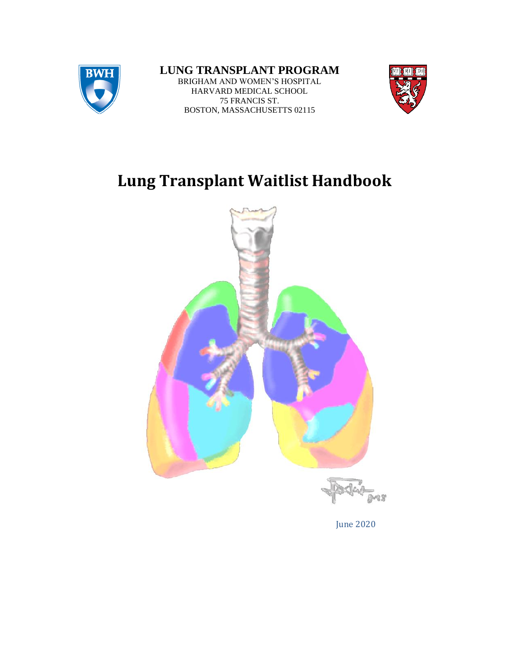

## **LUNG TRANSPLANT PROGRAM** BRIGHAM AND WOMEN'S HOSPITAL

HARVARD MEDICAL SCHOOL 75 FRANCIS ST. BOSTON, MASSACHUSETTS 02115



# **Lung Transplant Waitlist Handbook**



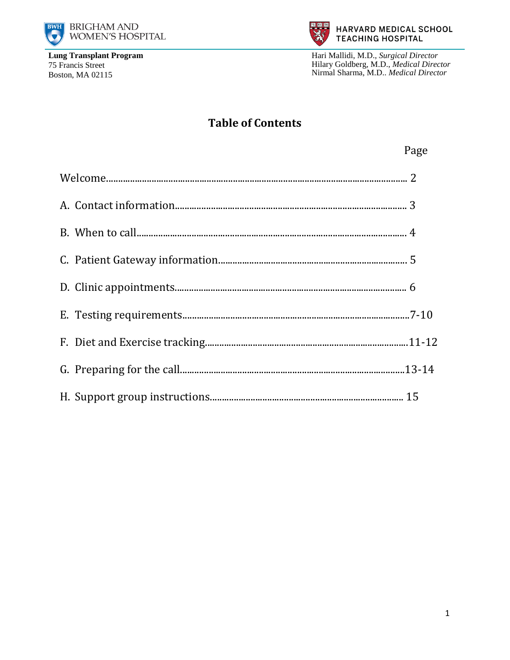



Hari Mallidi, M.D., Surgical Director Hilary Goldberg, M.D., Medical Director Nirmal Sharma, M.D.. Medical Director

# **Table of Contents**

|  | Page |
|--|------|
|  |      |
|  |      |
|  |      |
|  |      |
|  |      |
|  |      |
|  |      |
|  |      |
|  |      |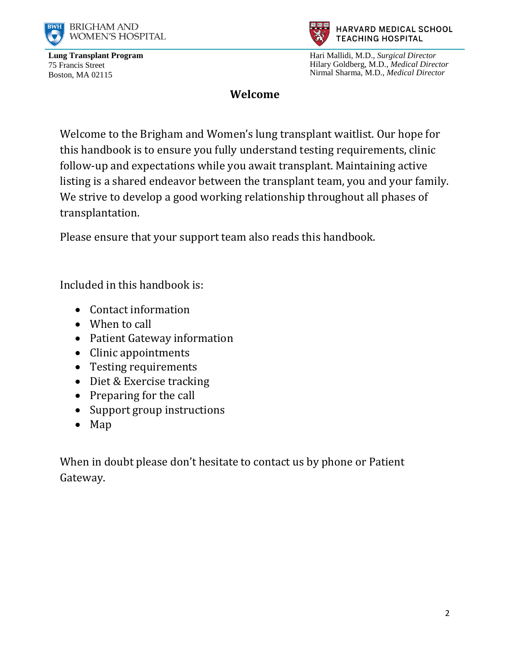



HARVARD MEDICAL SCHOOL **TEACHING HOSPITAL** 

Hari Mallidi, M.D., *Surgical Director* Hilary Goldberg, M.D., *Medical Director* Nirmal Sharma, M.D., *Medical Director*

#### **Welcome**

Welcome to the Brigham and Women's lung transplant waitlist. Our hope for this handbook is to ensure you fully understand testing requirements, clinic follow-up and expectations while you await transplant. Maintaining active listing is a shared endeavor between the transplant team, you and your family. We strive to develop a good working relationship throughout all phases of transplantation.

Please ensure that your support team also reads this handbook.

Included in this handbook is:

- Contact information
- When to call
- Patient Gateway information
- Clinic appointments
- Testing requirements
- Diet & Exercise tracking
- Preparing for the call
- Support group instructions
- Map

When in doubt please don't hesitate to contact us by phone or Patient Gateway.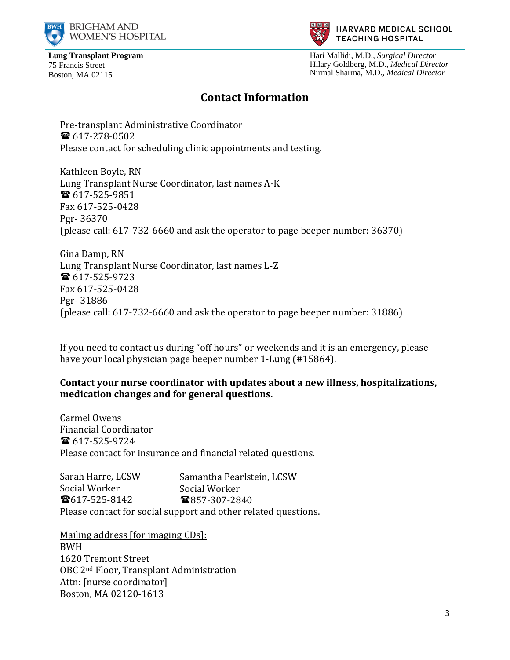



Hari Mallidi, M.D., *Surgical Director* Hilary Goldberg, M.D., *Medical Director* Nirmal Sharma, M.D., *Medical Director*

#### **Contact Information**

Pre-transplant Administrative Coordinator  $\bullet$  617-278-0502 Please contact for scheduling clinic appointments and testing.

Kathleen Boyle, RN Lung Transplant Nurse Coordinator, last names A-K ■ 617-525-9851 Fax 617-525-0428 Pgr- 36370 (please call: 617-732-6660 and ask the operator to page beeper number: 36370)

Gina Damp, RN Lung Transplant Nurse Coordinator, last names L-Z 617-525-9723 Fax 617-525-0428 Pgr- 31886 (please call: 617-732-6660 and ask the operator to page beeper number: 31886)

If you need to contact us during "off hours" or weekends and it is an emergency, please have your local physician page beeper number 1-Lung (#15864).

#### **Contact your nurse coordinator with updates about a new illness, hospitalizations, medication changes and for general questions.**

Carmel Owens Financial Coordinator 617-525-9724 Please contact for insurance and financial related questions.

Sarah Harre, LCSW Social Worker  $\bullet$ 617-525-8142 Please contact for social support and other related questions. Samantha Pearlstein, LCSW Social Worker ■857-307-2840

Mailing address [for imaging CDs]: BWH 1620 Tremont Street OBC 2nd Floor, Transplant Administration Attn: [nurse coordinator] Boston, MA 02120-1613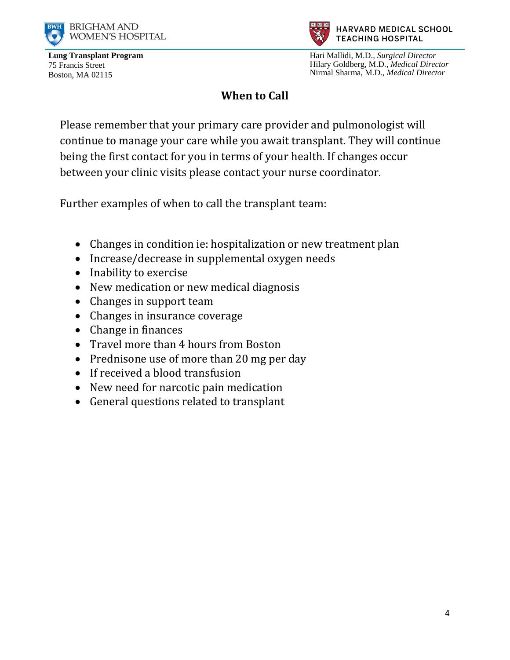



Hari Mallidi, M.D., *Surgical Director* Hilary Goldberg, M.D., *Medical Director* Nirmal Sharma, M.D., *Medical Director*

# **When to Call**

Please remember that your primary care provider and pulmonologist will continue to manage your care while you await transplant. They will continue being the first contact for you in terms of your health. If changes occur between your clinic visits please contact your nurse coordinator.

Further examples of when to call the transplant team:

- Changes in condition ie: hospitalization or new treatment plan
- Increase/decrease in supplemental oxygen needs
- Inability to exercise
- New medication or new medical diagnosis
- Changes in support team
- Changes in insurance coverage
- Change in finances
- Travel more than 4 hours from Boston
- Prednisone use of more than 20 mg per day
- If received a blood transfusion
- New need for narcotic pain medication
- General questions related to transplant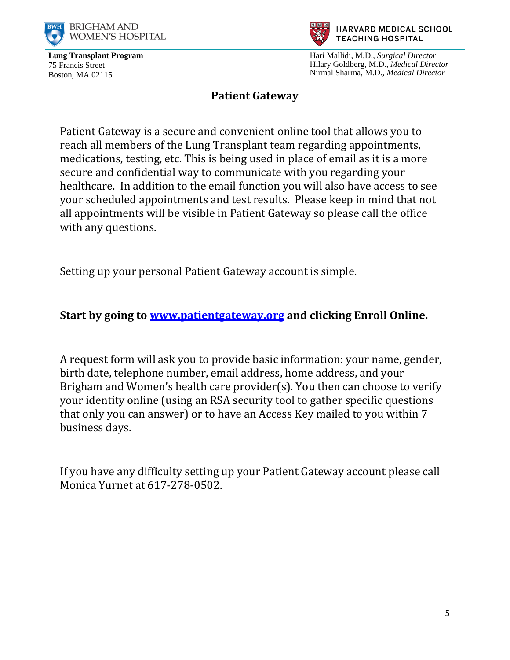



Hari Mallidi, M.D., *Surgical Director* Hilary Goldberg, M.D., *Medical Director* Nirmal Sharma, M.D., *Medical Director*

#### **Patient Gateway**

Patient Gateway is a secure and convenient online tool that allows you to reach all members of the Lung Transplant team regarding appointments, medications, testing, etc. This is being used in place of email as it is a more secure and confidential way to communicate with you regarding your healthcare. In addition to the email function you will also have access to see your scheduled appointments and test results. Please keep in mind that not all appointments will be visible in Patient Gateway so please call the office with any questions.

Setting up your personal Patient Gateway account is simple.

## **Start by going to [www.patientgateway.org](http://www.patientgateway.org/) and clicking Enroll Online.**

A request form will ask you to provide basic information: your name, gender, birth date, telephone number, email address, home address, and your Brigham and Women's health care provider(s). You then can choose to verify your identity online (using an RSA security tool to gather specific questions that only you can answer) or to have an Access Key mailed to you within 7 business days.

If you have any difficulty setting up your Patient Gateway account please call Monica Yurnet at 617-278-0502.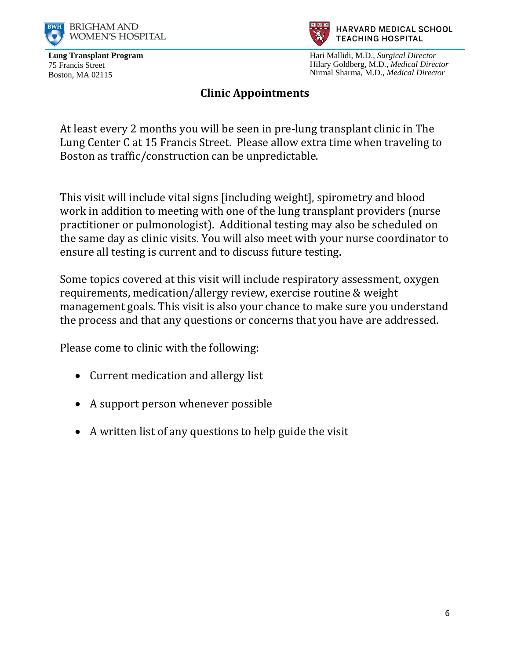



Hari Mallidi, M.D., *Surgical Director* Hilary Goldberg, M.D., *Medical Director* Nirmal Sharma, M.D., *Medical Director*

## **Clinic Appointments**

At least every 2 months you will be seen in pre-lung transplant clinic in The Lung Center C at 15 Francis Street. Please allow extra time when traveling to Boston as traffic/construction can be unpredictable.

This visit will include vital signs [including weight], spirometry and blood work in addition to meeting with one of the lung transplant providers (nurse practitioner or pulmonologist). Additional testing may also be scheduled on the same day as clinic visits. You will also meet with your nurse coordinator to ensure all testing is current and to discuss future testing.

Some topics covered at this visit will include respiratory assessment, oxygen requirements, medication/allergy review, exercise routine & weight management goals. This visit is also your chance to make sure you understand the process and that any questions or concerns that you have are addressed.

Please come to clinic with the following:

- Current medication and allergy list
- A support person whenever possible
- A written list of any questions to help guide the visit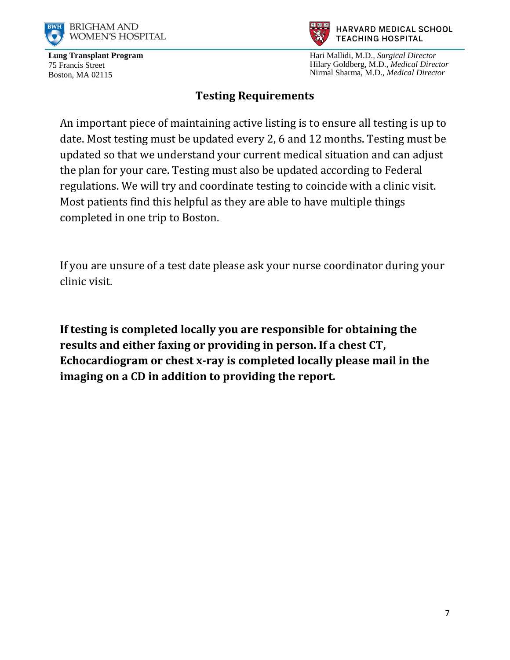



Hari Mallidi, M.D., *Surgical Director* Hilary Goldberg, M.D., *Medical Director* Nirmal Sharma, M.D., *Medical Director*

## **Testing Requirements**

An important piece of maintaining active listing is to ensure all testing is up to date. Most testing must be updated every 2, 6 and 12 months. Testing must be updated so that we understand your current medical situation and can adjust the plan for your care. Testing must also be updated according to Federal regulations. We will try and coordinate testing to coincide with a clinic visit. Most patients find this helpful as they are able to have multiple things completed in one trip to Boston.

If you are unsure of a test date please ask your nurse coordinator during your clinic visit.

**If testing is completed locally you are responsible for obtaining the results and either faxing or providing in person. If a chest CT, Echocardiogram or chest x-ray is completed locally please mail in the imaging on a CD in addition to providing the report.**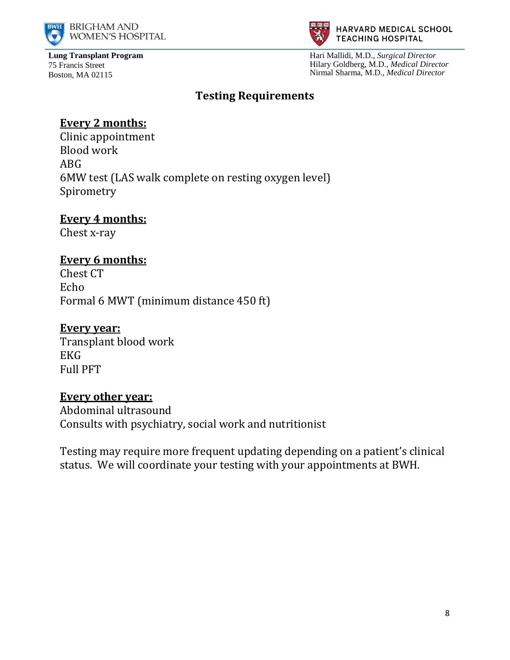



Hari Mallidi, M.D., *Surgical Director* Hilary Goldberg, M.D., *Medical Director* Nirmal Sharma, M.D., *Medical Director*

## **Testing Requirements**

# **Every 2 months:**

Clinic appointment Blood work ABG 6MW test (LAS walk complete on resting oxygen level) Spirometry

#### **Every 4 months:**

Chest x-ray

## **Every 6 months:**

Chest CT Echo Formal 6 MWT (minimum distance 450 ft)

#### **Every year:**

Transplant blood work EKG Full PFT

#### **Every other year:**

Abdominal ultrasound Consults with psychiatry, social work and nutritionist

Testing may require more frequent updating depending on a patient's clinical status. We will coordinate your testing with your appointments at BWH.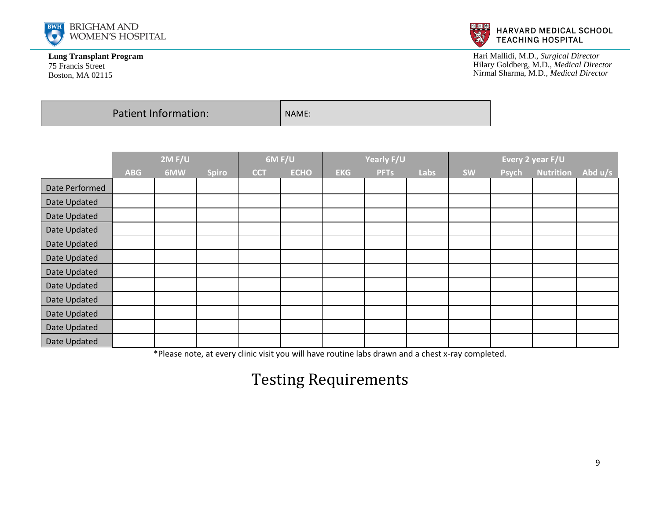



Hari Mallidi, M.D., *Surgical Director* Hilary Goldberg, M.D., *Medical Director* Nirmal Sharma, M.D., *Medical Director*

Patient Information:  $\vert$  NAME:

|                | 2M F/U     |     | 6M F/U       |            | Yearly F/U  |            |             | Every 2 year F/U |           |       |                  |           |
|----------------|------------|-----|--------------|------------|-------------|------------|-------------|------------------|-----------|-------|------------------|-----------|
|                | <b>ABG</b> | 6MW | <b>Spiro</b> | <b>CCT</b> | <b>ECHO</b> | <b>EKG</b> | <b>PFTs</b> | Labs             | <b>SW</b> | Psych | <b>Nutrition</b> | Abd $u/s$ |
| Date Performed |            |     |              |            |             |            |             |                  |           |       |                  |           |
| Date Updated   |            |     |              |            |             |            |             |                  |           |       |                  |           |
| Date Updated   |            |     |              |            |             |            |             |                  |           |       |                  |           |
| Date Updated   |            |     |              |            |             |            |             |                  |           |       |                  |           |
| Date Updated   |            |     |              |            |             |            |             |                  |           |       |                  |           |
| Date Updated   |            |     |              |            |             |            |             |                  |           |       |                  |           |
| Date Updated   |            |     |              |            |             |            |             |                  |           |       |                  |           |
| Date Updated   |            |     |              |            |             |            |             |                  |           |       |                  |           |
| Date Updated   |            |     |              |            |             |            |             |                  |           |       |                  |           |
| Date Updated   |            |     |              |            |             |            |             |                  |           |       |                  |           |
| Date Updated   |            |     |              |            |             |            |             |                  |           |       |                  |           |
| Date Updated   |            |     |              |            |             |            |             |                  |           |       |                  |           |

\*Please note, at every clinic visit you will have routine labs drawn and a chest x-ray completed.

# Testing Requirements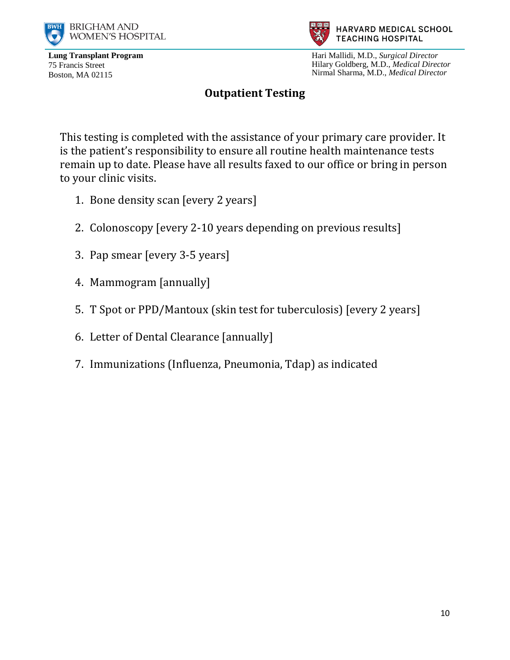



Hari Mallidi, M.D., *Surgical Director* Hilary Goldberg, M.D., *Medical Director* Nirmal Sharma, M.D., *Medical Director*

#### **Outpatient Testing**

This testing is completed with the assistance of your primary care provider. It is the patient's responsibility to ensure all routine health maintenance tests remain up to date. Please have all results faxed to our office or bring in person to your clinic visits.

- 1. Bone density scan [every 2 years]
- 2. Colonoscopy [every 2-10 years depending on previous results]
- 3. Pap smear [every 3-5 years]
- 4. Mammogram [annually]
- 5. T Spot or PPD/Mantoux (skin test for tuberculosis) [every 2 years]
- 6. Letter of Dental Clearance [annually]
- 7. Immunizations (Influenza, Pneumonia, Tdap) as indicated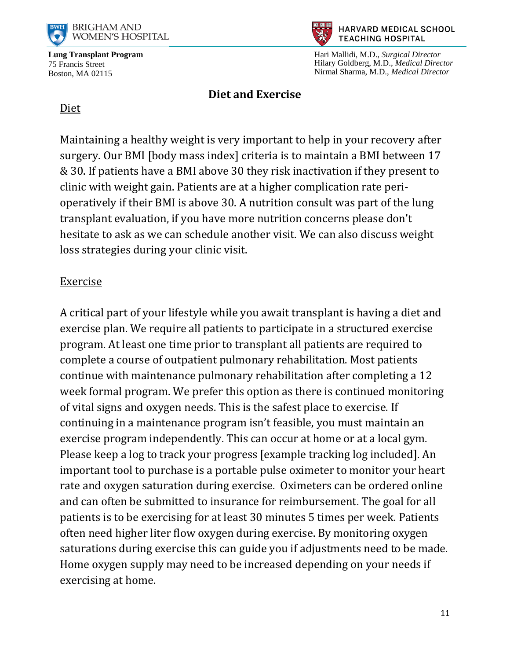



Hari Mallidi, M.D., *Surgical Director* Hilary Goldberg, M.D., *Medical Director* Nirmal Sharma, M.D., *Medical Director*

#### **Diet and Exercise**

#### Diet

Maintaining a healthy weight is very important to help in your recovery after surgery. Our BMI [body mass index] criteria is to maintain a BMI between 17 & 30. If patients have a BMI above 30 they risk inactivation if they present to clinic with weight gain. Patients are at a higher complication rate perioperatively if their BMI is above 30. A nutrition consult was part of the lung transplant evaluation, if you have more nutrition concerns please don't hesitate to ask as we can schedule another visit. We can also discuss weight loss strategies during your clinic visit.

#### Exercise

A critical part of your lifestyle while you await transplant is having a diet and exercise plan. We require all patients to participate in a structured exercise program. At least one time prior to transplant all patients are required to complete a course of outpatient pulmonary rehabilitation. Most patients continue with maintenance pulmonary rehabilitation after completing a 12 week formal program. We prefer this option as there is continued monitoring of vital signs and oxygen needs. This is the safest place to exercise. If continuing in a maintenance program isn't feasible, you must maintain an exercise program independently. This can occur at home or at a local gym. Please keep a log to track your progress [example tracking log included]. An important tool to purchase is a portable pulse oximeter to monitor your heart rate and oxygen saturation during exercise. Oximeters can be ordered online and can often be submitted to insurance for reimbursement. The goal for all patients is to be exercising for at least 30 minutes 5 times per week. Patients often need higher liter flow oxygen during exercise. By monitoring oxygen saturations during exercise this can guide you if adjustments need to be made. Home oxygen supply may need to be increased depending on your needs if exercising at home.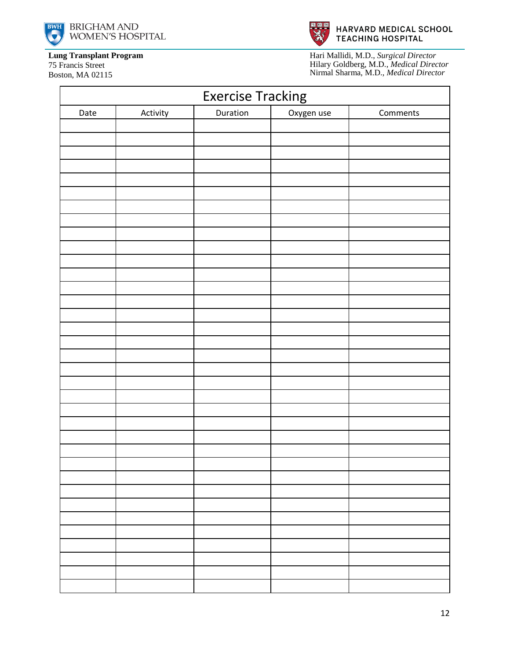





Boston, MA 02115



Hari Mallidi, M.D., *Surgical Director* Hilary Goldberg, M.D., *Medical Director* Nirmal Sharma, M.D., *Medical Director*

| <b>Exercise Tracking</b> |          |          |            |          |  |  |  |  |
|--------------------------|----------|----------|------------|----------|--|--|--|--|
| Date                     | Activity | Duration | Oxygen use | Comments |  |  |  |  |
|                          |          |          |            |          |  |  |  |  |
|                          |          |          |            |          |  |  |  |  |
|                          |          |          |            |          |  |  |  |  |
|                          |          |          |            |          |  |  |  |  |
|                          |          |          |            |          |  |  |  |  |
|                          |          |          |            |          |  |  |  |  |
|                          |          |          |            |          |  |  |  |  |
|                          |          |          |            |          |  |  |  |  |
|                          |          |          |            |          |  |  |  |  |
|                          |          |          |            |          |  |  |  |  |
|                          |          |          |            |          |  |  |  |  |
|                          |          |          |            |          |  |  |  |  |
|                          |          |          |            |          |  |  |  |  |
|                          |          |          |            |          |  |  |  |  |
|                          |          |          |            |          |  |  |  |  |
|                          |          |          |            |          |  |  |  |  |
|                          |          |          |            |          |  |  |  |  |
|                          |          |          |            |          |  |  |  |  |
|                          |          |          |            |          |  |  |  |  |
|                          |          |          |            |          |  |  |  |  |
|                          |          |          |            |          |  |  |  |  |
|                          |          |          |            |          |  |  |  |  |
|                          |          |          |            |          |  |  |  |  |
|                          |          |          |            |          |  |  |  |  |
|                          |          |          |            |          |  |  |  |  |
|                          |          |          |            |          |  |  |  |  |
|                          |          |          |            |          |  |  |  |  |
|                          |          |          |            |          |  |  |  |  |
|                          |          |          |            |          |  |  |  |  |
|                          |          |          |            |          |  |  |  |  |
|                          |          |          |            |          |  |  |  |  |
|                          |          |          |            |          |  |  |  |  |
|                          |          |          |            |          |  |  |  |  |
|                          |          |          |            |          |  |  |  |  |
|                          |          |          |            |          |  |  |  |  |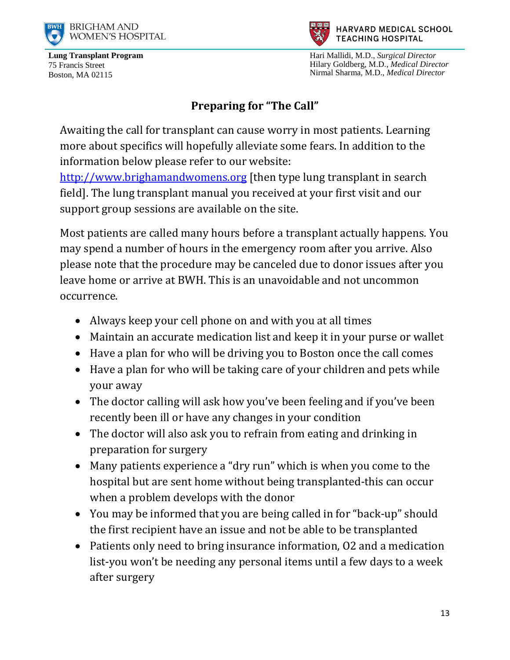



Hari Mallidi, M.D., *Surgical Director* Hilary Goldberg, M.D., *Medical Director* Nirmal Sharma, M.D., *Medical Director*

# **Preparing for "The Call"**

Awaiting the call for transplant can cause worry in most patients. Learning more about specifics will hopefully alleviate some fears. In addition to the information below please refer to our website:

[http://www.brighamandwomens.org](http://www.brighamandwomens.org/) [then type lung transplant in search field]. The lung transplant manual you received at your first visit and our support group sessions are available on the site.

Most patients are called many hours before a transplant actually happens. You may spend a number of hours in the emergency room after you arrive. Also please note that the procedure may be canceled due to donor issues after you leave home or arrive at BWH. This is an unavoidable and not uncommon occurrence.

- Always keep your cell phone on and with you at all times
- Maintain an accurate medication list and keep it in your purse or wallet
- Have a plan for who will be driving you to Boston once the call comes
- Have a plan for who will be taking care of your children and pets while your away
- The doctor calling will ask how you've been feeling and if you've been recently been ill or have any changes in your condition
- The doctor will also ask you to refrain from eating and drinking in preparation for surgery
- Many patients experience a "dry run" which is when you come to the hospital but are sent home without being transplanted-this can occur when a problem develops with the donor
- You may be informed that you are being called in for "back-up" should the first recipient have an issue and not be able to be transplanted
- Patients only need to bring insurance information, O2 and a medication list-you won't be needing any personal items until a few days to a week after surgery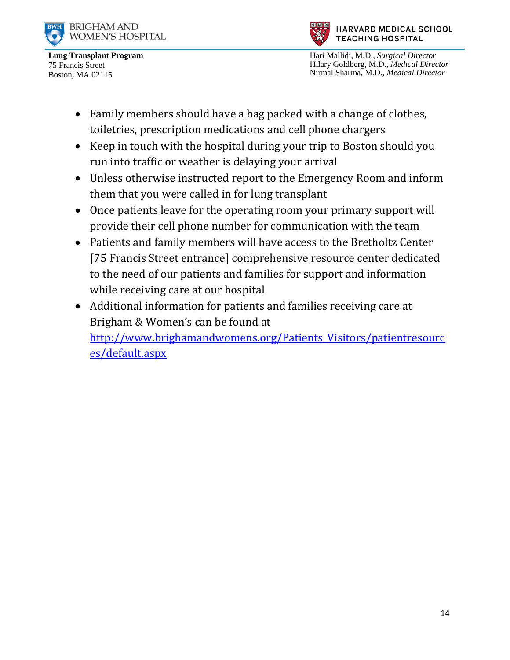



HARVARD MEDICAL SCHOOL **TEACHING HOSPITAL** 

Hari Mallidi, M.D., *Surgical Director* Hilary Goldberg, M.D., *Medical Director* Nirmal Sharma, M.D., *Medical Director*

- Family members should have a bag packed with a change of clothes, toiletries, prescription medications and cell phone chargers
- Keep in touch with the hospital during your trip to Boston should you run into traffic or weather is delaying your arrival
- Unless otherwise instructed report to the Emergency Room and inform them that you were called in for lung transplant
- Once patients leave for the operating room your primary support will provide their cell phone number for communication with the team
- Patients and family members will have access to the Bretholtz Center [75 Francis Street entrance] comprehensive resource center dedicated to the need of our patients and families for support and information while receiving care at our hospital
- Additional information for patients and families receiving care at Brigham & Women's can be found at [http://www.brighamandwomens.org/Patients\\_Visitors/patientresourc](http://www.brighamandwomens.org/Patients_Visitors/patientresources/default.aspx) [es/default.aspx](http://www.brighamandwomens.org/Patients_Visitors/patientresources/default.aspx)